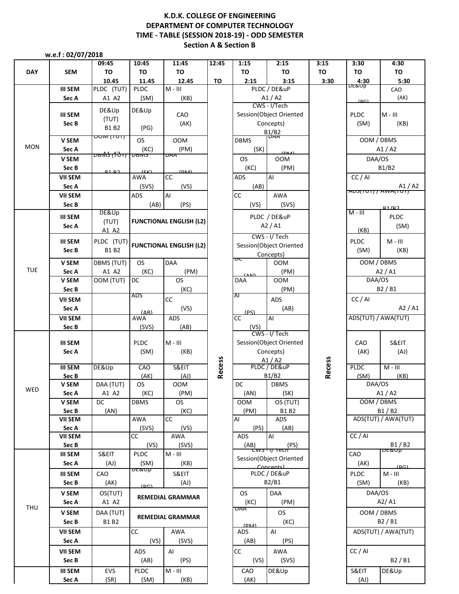## **Section A & Section B K.D.K. COLLEGE OF ENGINEERING DEPARTMENT OF COMPUTER TECHNOLOGY TIME - TABLE (SESSION 2018-19) - ODD SEMESTER**

 **w.e.f : 02/07/2018**

|            |                         | 09:45                                 | 10:45                          | 11:45                          | 12:45         | 1:15               | 2:15                                 | 3:15          | 3:30                      | 4:30                |
|------------|-------------------------|---------------------------------------|--------------------------------|--------------------------------|---------------|--------------------|--------------------------------------|---------------|---------------------------|---------------------|
| <b>DAY</b> | <b>SEM</b>              | TO                                    | TO                             | TO                             |               | TO                 | TO                                   | TO            | TO                        | TO                  |
|            |                         | 10.45                                 | 11.45                          | 12.45                          | TO            | 2:15               | 3:15                                 | 3:30          | $\frac{4:30}{\sqrt{100}}$ | 5:30                |
|            | <b>III SEM</b>          | PLDC (TUT)                            | <b>PLDC</b>                    | $M - III$                      |               |                    | PLDC / DE&uP                         |               |                           | CAO                 |
|            | Sec A                   | A1 A2                                 | (SM)                           | (KB)                           |               |                    | A1/A2<br>CWS - I/Tech                |               | (DC)                      | (AK)                |
|            | <b>III SEM</b>          | DE&Up                                 | DE&Up                          | CAO                            |               |                    | Session(Object Oriented              |               | <b>PLDC</b>               | $M - III$           |
|            | Sec B                   | (TUT)                                 |                                | (AK)                           |               |                    | Concepts)                            |               | (SM)                      | (KB)                |
|            |                         | <b>B1 B2</b>                          | (PG)                           |                                |               |                    |                                      |               |                           |                     |
|            | V SEM                   | <del>ויטון ואוטט</del>                | <b>OS</b>                      | <b>OOM</b>                     |               | <b>DBMS</b>        | B1/B2                                |               | OOM / DBMS                |                     |
| <b>MON</b> | Sec A                   |                                       | (KC)                           | (PM)                           |               | (SK)               |                                      |               |                           | A1/A2               |
|            | V SEM                   | <del>בוֹטופּט   דו 10) \$ו0ופּט</del> |                                | <b>DAA</b>                     |               | <b>OS</b>          | <b>OOM</b>                           |               | DAA/OS                    |                     |
|            | Sec B                   |                                       |                                |                                |               | (KC)               | (PM)                                 |               |                           | <b>B1/B2</b>        |
|            | <b>VII SEM</b>          | <b>D1D2</b>                           | (K)<br>AWA                     | (DMA)<br>cc                    |               | ADS                | AI                                   |               | CC/AI                     |                     |
|            | Sec A                   |                                       | (SVS)                          | (VS)                           |               | (AB)               |                                      |               |                           | $A1/A2$<br>$A1/A2$  |
|            | <b>VII SEM</b>          |                                       | <b>ADS</b>                     | Al                             |               | <b>CC</b>          | AWA                                  |               |                           |                     |
|            | Sec B                   |                                       | (AB)                           | (PS)                           |               | (VS)               | (SVS)                                |               |                           | R1/R2               |
|            | <b>III SEM</b>          | DE&Up                                 |                                |                                |               |                    | PLDC / DE&uP                         |               | $M - III$                 | <b>PLDC</b>         |
|            | Sec A                   | (TUT)                                 |                                | <b>FUNCTIONAL ENGLISH (L2)</b> |               |                    | A2/AI                                |               |                           | (SM)                |
|            |                         | A1 A2                                 |                                |                                |               |                    | CWS - I/ Tech                        |               | (KB)                      |                     |
|            | III SEM                 | PLDC (TUT)                            |                                |                                |               |                    |                                      |               | <b>PLDC</b>               | $M - III$           |
|            | Sec B                   | <b>B1 B2</b>                          | <b>FUNCTIONAL ENGLISH (L2)</b> |                                |               |                    | Session(Object Oriented<br>Concepts) |               | (SM)                      | (KB)                |
|            | V SEM                   | DBMS (TUT)                            | <b>OS</b>                      | DAA                            |               | ᠊ᠣᡄ                | <b>OOM</b>                           |               | OOM / DBMS                |                     |
| <b>TUE</b> | Sec A                   | A1 A2                                 | (KC)                           | (PM)                           |               | (11)               | (PM)                                 |               |                           | A2/AI               |
|            | V SEM                   | OOM (TUT)                             | DC                             | <b>OS</b>                      |               | <b>DAA</b>         | <b>OOM</b>                           |               | DAA/OS                    |                     |
|            | Sec B                   |                                       |                                | (KC)                           |               |                    | (PM)                                 |               |                           | B2/B1               |
|            | <b>VII SEM</b>          |                                       | ADS                            | cc                             |               | Al                 | ADS                                  |               | CC/AI                     |                     |
|            | Sec A                   |                                       | (AB)                           | (VS)                           |               |                    | (AB)                                 |               |                           | A2 $/$ A1           |
|            | <b>VII SEM</b>          |                                       | <b>AWA</b>                     | <b>ADS</b>                     |               | (PS)<br><b>CC</b>  | AI                                   |               | ADS(TUT) / AWA(TUT)       |                     |
|            | Sec B                   |                                       | (SVS)                          | (AB)                           |               | (VS)               |                                      |               |                           |                     |
|            |                         |                                       |                                |                                |               |                    | CWS - I/ Tech                        |               |                           |                     |
|            | <b>III SEM</b>          |                                       | <b>PLDC</b>                    | $M - III$                      |               |                    | Session(Object Oriented              |               | CAO                       | S&EIT               |
|            | Sec A                   |                                       | (SM)                           | (KB)                           |               |                    | Concepts)                            |               | (AK)                      | (AJ)                |
|            | <b>III SEM</b>          | DE&Up                                 | CAO                            | S&EIT                          | <b>Recess</b> |                    | A1/A2<br>PLDC / DE&uP                | <b>Recess</b> | <b>PLDC</b>               | $M - III$           |
|            | Sec B                   |                                       | (AK)                           | (AJ)                           |               |                    | B1/B2                                |               | (SM)                      | (KB)                |
|            | V SEM                   | DAA (TUT)                             | <b>OS</b>                      | <b>OOM</b>                     |               | DC                 | <b>DBMS</b>                          |               | DAA/OS                    |                     |
| WED        | Sec A                   | A1 A2                                 | (KC)                           | (PM)                           |               | (AN)               | (SK)                                 |               |                           | A1/A2               |
|            | <b>V SEM</b>            | <b>DC</b>                             | DBMS                           | OS.                            |               | <b>OOM</b>         | OS(TUT)                              |               | OOM / DBMS                |                     |
|            | Sec B                   | (AN)                                  |                                | (KC)                           |               | (PM)               | B1 B2                                |               |                           | B1/B2               |
|            | VII SEM                 |                                       | AWA                            | CC                             |               | Al                 | ADS                                  |               |                           | ADS(TUT) / AWA(TUT) |
|            | Sec A                   |                                       | (SVS)<br>cc                    | (VS)<br>AWA                    |               | (PS)<br><b>ADS</b> | (AB)<br>Al                           |               | CC/AI                     |                     |
|            | <b>VII SEM</b><br>Sec B |                                       | (VS)                           | (SVS)                          |               | (AB)               | (PS)                                 |               |                           | B1/B2               |
|            | <b>III SEM</b>          | S&EIT                                 | PLDC                           | $M - III$                      |               |                    | <del>Cws-17 recn'</del>              |               | CAO                       | υεαυρ               |
|            | Sec A                   | (AJ)                                  | (SM)                           | (KB)                           |               |                    | Session(Object Oriented              |               | (AK)                      |                     |
|            | <b>III SEM</b>          | CAO                                   | υεαυρ                          | S&EIT                          |               |                    | Concents<br>PLDC / DE&uP             |               | <b>PLDC</b>               | (DC)<br>$M - III$   |
|            | Sec B                   | (AK)                                  |                                | (AJ)                           |               |                    | B2/B1                                |               | (SM)                      | (KB)                |
|            |                         |                                       | DC                             |                                |               |                    |                                      |               | DAA/OS                    |                     |
|            | V SEM                   | OS(TUT)<br>A1 A2                      |                                | <b>REMEDIAL GRAMMAR</b>        |               | <b>OS</b>          | DAA<br>(PM)                          |               |                           | A2/A1               |
| THU        | Sec A                   |                                       |                                |                                |               | (KC)<br><b>DAA</b> |                                      |               |                           |                     |
|            | <b>V SEM</b>            | DAA (TUT)                             | <b>REMEDIAL GRAMMAR</b>        |                                |               |                    | OS.                                  |               | OOM / DBMS                | B2/B1               |
|            | Sec B                   | B1 B2                                 |                                |                                |               | (DMA)              | (KC)                                 |               |                           |                     |
|            | <b>VII SEM</b>          |                                       | СC                             | AWA                            |               | ADS                | Al                                   |               |                           | ADS(TUT) / AWA(TUT) |
|            | Sec A                   |                                       | (VS)                           | (SVS)                          |               | (AB)               | (PS)                                 |               |                           |                     |
|            | <b>VII SEM</b>          |                                       | ADS                            | AI                             |               | CC                 | AWA                                  |               | CC / AI                   |                     |
|            | Sec B                   |                                       | (AB)                           | (PS)                           |               | (VS)               | (SVS)                                |               |                           | B2/B1               |
|            | <b>III SEM</b>          | EVS                                   | PLDC                           | $M - III$                      |               | CAO                | DE&Up                                |               | S&EIT                     | DE&Up               |
|            | Sec A                   | (SR)                                  | (SM)                           | (KB)                           |               | (AK)               |                                      |               | (AJ)                      |                     |